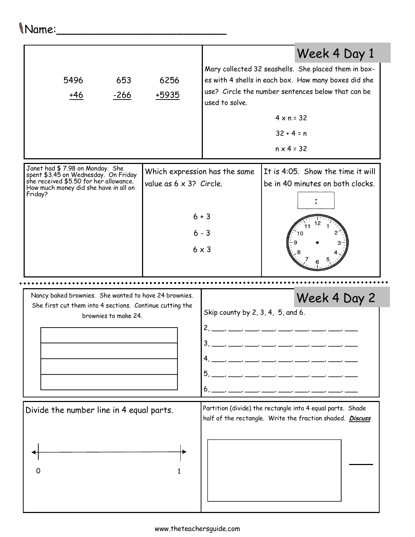## Mary collected 32 seashells. She placed them in boxes with 4 shells in each box. How many boxes did she use? Circle the number sentences below that can be used to solve. Name:\_\_\_\_\_\_\_\_\_\_\_\_\_\_\_\_\_\_\_\_\_\_\_\_\_ 5496 +46 653 -266 6256 +5935

Janet had \$ 7.98 on Monday. She Which expression has the same It is 4:05. Show the time it will spent \$3.45 on Wednesday. On Friday she received \$5.50 for her allowance. value as  $6 \times 3$ ? Circle. be in 40 minutes on both clocks. How much money did she have in all on Friday?  $6 + 3$  $6 - 3$  $6 \times 3$ 

Nancy baked brownies. She wanted to have 24 brownies. She first cut them into 4 sections. Continue cutting the brownies to make 24. Skip county by 2, 3, 4, 5, and 6.  $2, \_\_$ 

 $3, \_\_\_\_\_$ 

4, \_\_\_, \_\_\_, \_\_\_, \_\_\_, \_\_\_, \_\_\_, \_\_\_, \_\_\_, \_\_\_

 $4 \times n = 32$ 

Week 4 Day 1

Week 4 Day 2

 $32 + 4 = n$ 

 $n \times 4 = 32$ 

## 5, \_\_\_, \_\_\_, \_\_\_, \_\_\_, \_\_\_, \_\_\_, \_\_\_, \_\_\_, \_\_\_ 6, \_\_\_, \_\_\_, \_\_\_, \_\_\_, \_\_\_, \_\_\_, \_\_\_, \_\_\_, \_\_\_ Divide the number line in 4 equal parts. Partition (divide) the rectangle into 4 equal parts. Shade half of the rectangle. Write the fraction shaded. Discuss 0 1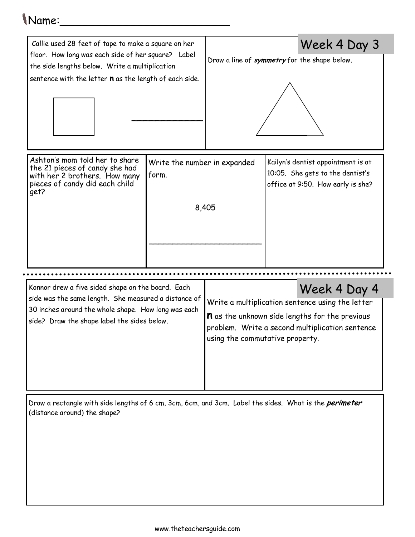## Name:\_\_\_\_\_\_\_\_\_\_\_\_\_\_\_\_\_\_\_\_\_\_\_\_\_

| Callie used 28 feet of tape to make a square on her                                                                                                                   |                                                |                                                                                                                                                                                                 | Week 4 Day 3                                                                                                |
|-----------------------------------------------------------------------------------------------------------------------------------------------------------------------|------------------------------------------------|-------------------------------------------------------------------------------------------------------------------------------------------------------------------------------------------------|-------------------------------------------------------------------------------------------------------------|
| floor. How long was each side of her square? Label<br>the side lengths below. Write a multiplication<br>sentence with the letter <b>n</b> as the length of each side. |                                                | Draw a line of <i>symmetry</i> for the shape below.                                                                                                                                             |                                                                                                             |
| Ashton's mom told her to share<br>the 21 pieces of candy she had<br>with her 2 brothers. How many<br>pieces of candy did each child<br>qet?                           | Write the number in expanded<br>form.<br>8,405 |                                                                                                                                                                                                 | Kailyn's dentist appointment is at<br>10:05. She gets to the dentist's<br>office at 9:50. How early is she? |
| Konnor drew a five sided shape on the board. Each<br>Week 4 Day 4                                                                                                     |                                                |                                                                                                                                                                                                 |                                                                                                             |
| side was the same length. She measured a distance of<br>30 inches around the whole shape. How long was each<br>side? Draw the shape label the sides below.            |                                                | Write a multiplication sentence using the letter<br><b>n</b> as the unknown side lengths for the previous<br>problem. Write a second multiplication sentence<br>using the commutative property. |                                                                                                             |

Draw a rectangle with side lengths of 6 cm, 3cm, 6cm, and 3cm. Label the sides. What is the *perimeter* (distance around) the shape?